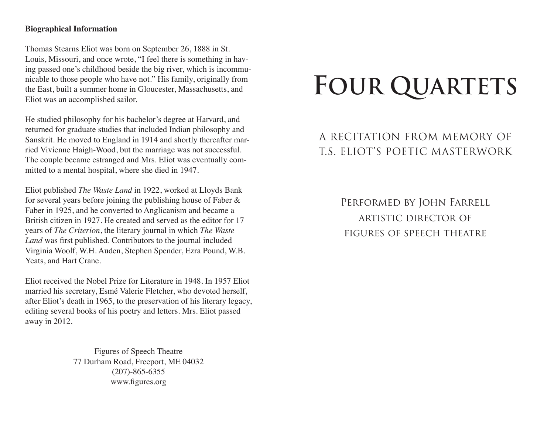### **Biographical Information**

Thomas Stearns Eliot was born on September 26, 1888 in St. Louis, Missouri, and once wrote, "I feel there is something in having passed one's childhood beside the big river, which is incommunicable to those people who have not." His family, originally from the East, built a summer home in Gloucester, Massachusetts, and Eliot was an accomplished sailor.

He studied philosophy for his bachelor's degree at Harvard, and returned for graduate studies that included Indian philosophy and Sanskrit. He moved to England in 1914 and shortly thereafter married Vivienne Haigh-Wood, but the marriage was not successful. The couple became estranged and Mrs. Eliot was eventually committed to a mental hospital, where she died in 1947.

Eliot published *The Waste Land* in 1922, worked at Lloyds Bank for several years before joining the publishing house of Faber & Faber in 1925, and he converted to Anglicanism and became a British citizen in 1927. He created and served as the editor for 17 years of *The Criterion*, the literary journal in which *The Waste Land* was first published. Contributors to the journal included Virginia Woolf, W.H. Auden, Stephen Spender, Ezra Pound, W.B. Yeats, and Hart Crane.

Eliot received the Nobel Prize for Literature in 1948. In 1957 Eliot married his secretary, Esmé Valerie Fletcher, who devoted herself, after Eliot's death in 1965, to the preservation of his literary legacy, editing several books of his poetry and letters. Mrs. Eliot passed away in 2012.

> Figures of Speech Theatre 77 Durham Road, Freeport, ME 04032 (207)-865-6355 www.figures.org

# **FOUR QUARTETS**

## A RECITATION FROM MEMORY OF T.S. ELIOT'S POETIC MASTERWORK

Performed by John Farrell artistic director of figures of speech theatre